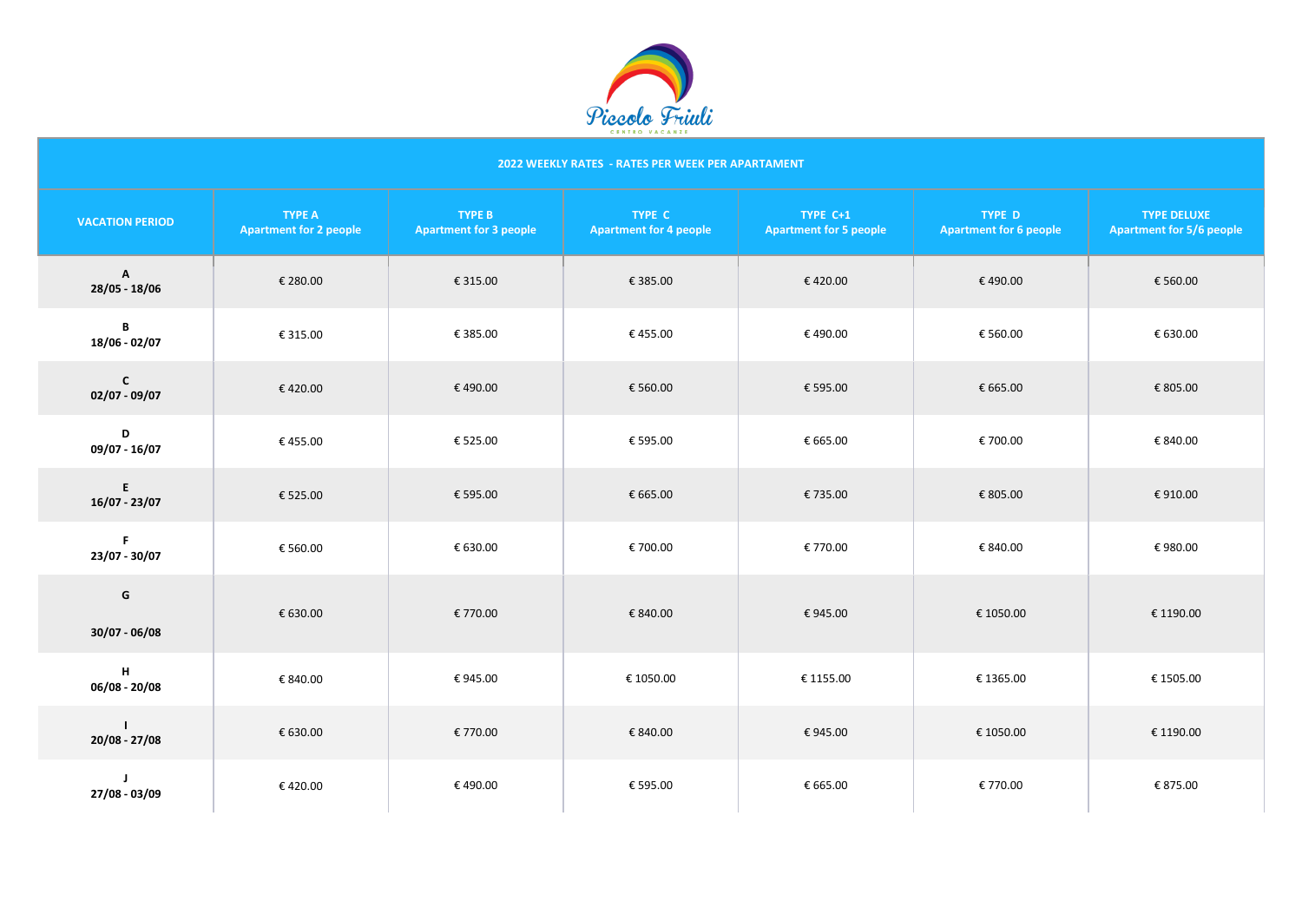

# **2022 WEEKLY RATES - RATES PER WEEK PER APARTAMENT**

| <b>VACATION PERIOD</b>        | <b>TYPE A</b><br><b>Apartment for 2 people</b> | <b>TYPE B</b><br><b>Apartment for 3 people</b> | <b>TYPE C</b><br><b>Apartment for 4 people</b> | TYPE C+1<br><b>Apartment for 5 people</b> | <b>TYPE D</b><br><b>Apartment for 6 people</b> | <b>TYPE DELUXE</b><br><b>Apartment for 5/6 people</b> |
|-------------------------------|------------------------------------------------|------------------------------------------------|------------------------------------------------|-------------------------------------------|------------------------------------------------|-------------------------------------------------------|
| $\mathsf{A}$<br>28/05 - 18/06 | € 280.00                                       | € 315.00                                       | € 385.00                                       | €420.00                                   | €490.00                                        | € 560.00                                              |
| B<br>18/06 - 02/07            | € 315.00                                       | € 385.00                                       | €455.00                                        | €490.00                                   | € 560.00                                       | € 630.00                                              |
| $\mathbf{C}$<br>02/07 - 09/07 | €420.00                                        | €490.00                                        | € 560.00                                       | € 595.00                                  | € 665.00                                       | € 805.00                                              |
| D<br>09/07 - 16/07            | €455.00                                        | € 525.00                                       | € 595.00                                       | € 665.00                                  | € 700.00                                       | € 840.00                                              |
| E<br>16/07 - 23/07            | € 525.00                                       | € 595.00                                       | € 665.00                                       | €735.00                                   | € 805.00                                       | €910.00                                               |
| F<br>23/07 - 30/07            | € 560.00                                       | € 630.00                                       | € 700.00                                       | € 770.00                                  | € 840.00                                       | €980.00                                               |
| G<br>30/07 - 06/08            | € 630.00                                       | € 770.00                                       | € 840.00                                       | €945.00                                   | € 1050.00                                      | € 1190.00                                             |
| H<br>06/08 - 20/08            | € 840.00                                       | €945.00                                        | € 1050.00                                      | € 1155.00                                 | € 1365.00                                      | € 1505.00                                             |
| $\mathbf{I}$<br>20/08 - 27/08 | € 630.00                                       | € 770.00                                       | € 840.00                                       | €945.00                                   | € 1050.00                                      | € 1190.00                                             |
| $\mathbf{I}$<br>27/08 - 03/09 | €420.00                                        | €490.00                                        | € 595.00                                       | € 665.00                                  | € 770.00                                       | € 875.00                                              |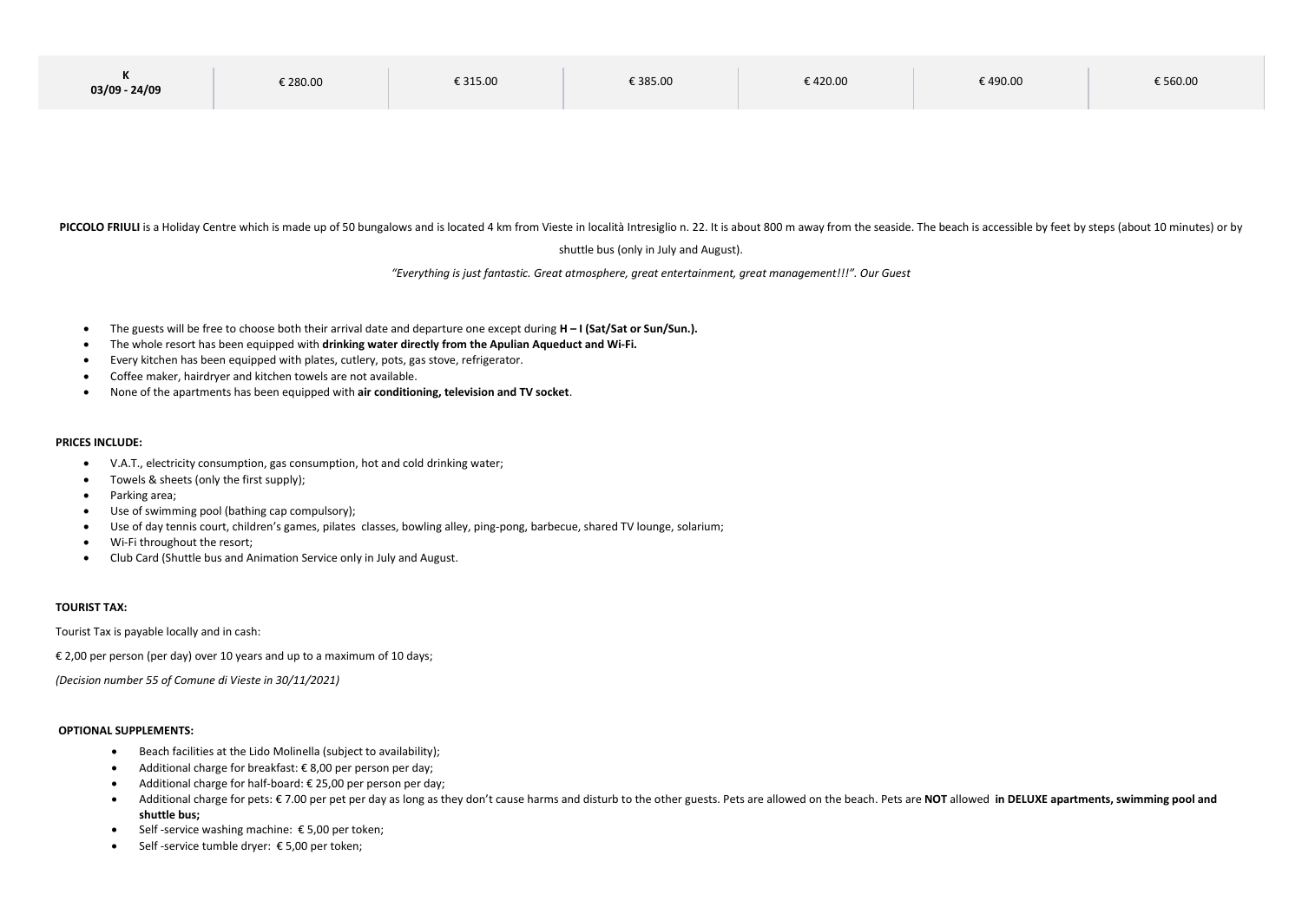| . .<br>$03/09 - 24/09$ | € 280.00 | € 315.00 | € 385.00 | € 420.00 | € 490.00 | € 560.00 |
|------------------------|----------|----------|----------|----------|----------|----------|
|------------------------|----------|----------|----------|----------|----------|----------|

PICCOLO FRIULI is a Holiday Centre which is made up of 50 bungalows and is located 4 km from Vieste in località Intresiglio n. 22. It is about 800 m away from the seaside. The beach is accessible by feet by steps (about 10

shuttle bus (only in July and August).

*"[Everything is just fantastic. Great atmosphere, great entertainment, great management](https://www.reverso.net/translationresults.aspx?lang=IT&sourcetext=Tutto%20%C3%A8%20semplicemente%20fantastico.%20Ottima%20atmosfera,%20ottimo%20intrattenimento,%20ottima%20gestione,%20ottima%20piscina,%20ottimo%20bar.%20Famiglia.%20Tutta%20la%20nostra%20famiglia%20si%20sentiva%20a%20suo%20agio.%20Abbiamo%20gi%C3%A0%20effettuato%20le%20prenotazioni%20per%20il%202019.%20Penso%20che%20questo%20dica%20tutto!&action_form=translate&direction_translation=ita-eng-7)!!!". Our Guest*

- The guests will be free to choose both their arrival date and departure one except during **H – I (Sat/Sat or Sun/Sun.).**
- The whole resort has been equipped with **drinking water directly from the Apulian Aqueduct and Wi-Fi.**
- Every kitchen has been equipped with plates, cutlery, pots, gas stove, refrigerator.
- Coffee maker, hairdryer and kitchen towels are not available.
- None of the apartments has been equipped with **air conditioning, television and TV socket**.

#### **PRICES INCLUDE:**

- V.A.T., electricity consumption, gas consumption, hot and cold drinking water;
- Towels & sheets (only the first supply);
- Parking area;
- Use of swimming pool (bathing cap compulsory);
- Use of day tennis court, children's games, pilates classes, bowling alley, ping-pong, barbecue, shared TV lounge, solarium;
- Wi-Fi throughout the resort;
- Club Card (Shuttle bus and Animation Service only in July and August.

### **TOURIST TAX:**

Tourist Tax is payable locally and in cash:

€ 2,00 per person (per day) over 10 years and up to a maximum of 10 days;

*(Decision number 55 of Comune di Vieste in 30/11/2021)*

#### **OPTIONAL SUPPLEMENTS:**

- Beach facilities at the Lido Molinella (subject to availability);
- $\bullet$  Additional charge for breakfast: € 8,00 per person per day;
- Additional charge for half-board: € 25,00 per person per day;
- Additional charge for pets: € 7.00 per pet per day as long as they don't cause harms and disturb to the other guests. Pets are allowed on the beach. Pets are **NOT** allowed **in DELUXE apartments, swimming pool and shuttle bus;**
- $\bullet$  Self-service washing machine:  $\epsilon$  5,00 per token;
- Self -service tumble dryer: € 5,00 per token;